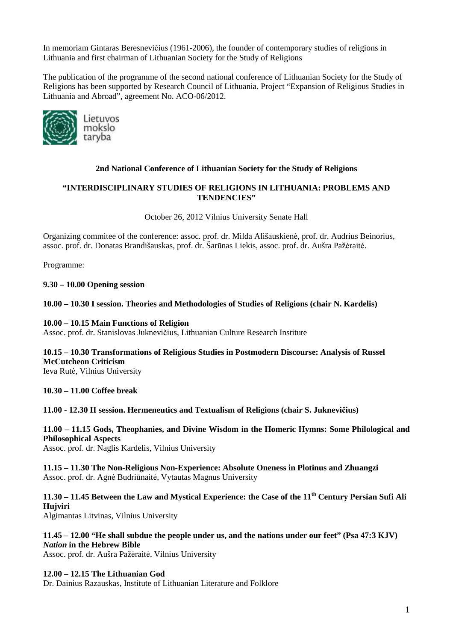In memoriam Gintaras Beresnevičius (1961-2006), the founder of contemporary studies of religions in Lithuania and first chairman of Lithuanian Society for the Study of Religions

The publication of the programme of the second national conference of Lithuanian Society for the Study of Religions has been supported by Research Council of Lithuania. Project "Expansion of Religious Studies in Lithuania and Abroad", agreement No. ACO-06/2012.



# **2nd National Conference of Lithuanian Society for the Study of Religions**

# **"INTERDISCIPLINARY STUDIES OF RELIGIONS IN LITHUANIA: PROBLEMS AND TENDENCIES"**

October 26, 2012 Vilnius University Senate Hall

Organizing commitee of the conference: assoc. prof. dr. Milda Ališauskienė, prof. dr. Audrius Beinorius, assoc. prof. dr. Donatas Brandišauskas, prof. dr. Šarūnas Liekis, assoc. prof. dr. Aušra Pažėraitė.

Programme:

# **9.30 – 10.00 Opening session**

#### **10.00 – 10.30 I session. Theories and Methodologies of Studies of Religions (chair N. Kardelis)**

#### **10.00 – 10.15 Main Functions of Religion**

Assoc. prof. dr. Stanislovas Juknevičius, Lithuanian Culture Research Institute

# **10.15 – 10.30 Transformations of Religious Studies in Postmodern Discourse: Analysis of Russel McCutcheon Criticism**

Ieva Rutė, Vilnius University

#### **10.30 – 11.00 Coffee break**

#### **11.00 - 12.30 II session. Hermeneutics and Textualism of Religions (chair S. Juknevičius)**

**11.00 – 11.15 Gods, Theophanies, and Divine Wisdom in the Homeric Hymns: Some Philological and Philosophical Aspects** 

Assoc. prof. dr. Naglis Kardelis, Vilnius University

**11.15 – 11.30 The Non-Religious Non-Experience: Absolute Oneness in Plotinus and Zhuangzi**  Assoc. prof. dr. Agnė Budriūnaitė, Vytautas Magnus University

**11.30 – 11.45 Between the Law and Mystical Experience: the Case of the 11th Century Persian Sufi Ali Hujviri**  Algimantas Litvinas, Vilnius University

**11.45 – 12.00 "He shall subdue the people under us, and the nations under our feet" (Psa 47:3 KJV)**  *Nation* **in the Hebrew Bible** 

Assoc. prof. dr. Aušra Pažėraitė, Vilnius University

#### **12.00 – 12.15 The Lithuanian God**

Dr. Dainius Razauskas, Institute of Lithuanian Literature and Folklore